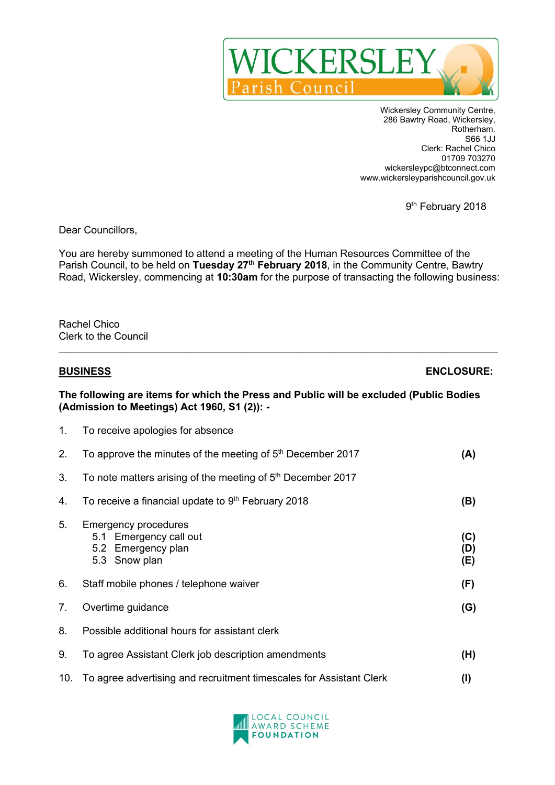

Wickersley Community Centre, 286 Bawtry Road, Wickersley, Rotherham. S66 1JJ Clerk: Rachel Chico 01709 703270 wickersleypc@btconnect.com www.wickersleyparishcouncil.gov.uk

9<sup>th</sup> February 2018

Dear Councillors,

You are hereby summoned to attend a meeting of the Human Resources Committee of the Parish Council, to be held on **Tuesday 27th February 2018**, in the Community Centre, Bawtry Road, Wickersley, commencing at **10:30am** for the purpose of transacting the following business:

 $\_$ 

Rachel Chico Clerk to the Council

| <b>BUSINESS</b>                                                                                                                        |                                                                                              | <b>ENCLOSURE:</b> |  |
|----------------------------------------------------------------------------------------------------------------------------------------|----------------------------------------------------------------------------------------------|-------------------|--|
| The following are items for which the Press and Public will be excluded (Public Bodies<br>(Admission to Meetings) Act 1960, S1 (2)): - |                                                                                              |                   |  |
| 1.                                                                                                                                     | To receive apologies for absence                                                             |                   |  |
| 2.                                                                                                                                     | To approve the minutes of the meeting of 5 <sup>th</sup> December 2017                       | (A)               |  |
| 3.                                                                                                                                     | To note matters arising of the meeting of 5 <sup>th</sup> December 2017                      |                   |  |
| 4.                                                                                                                                     | To receive a financial update to 9th February 2018                                           | (B)               |  |
| 5.                                                                                                                                     | <b>Emergency procedures</b><br>5.1 Emergency call out<br>5.2 Emergency plan<br>5.3 Snow plan | (C)<br>(D)<br>(E) |  |
| 6.                                                                                                                                     | Staff mobile phones / telephone waiver                                                       | (F)               |  |
| 7.                                                                                                                                     | Overtime guidance                                                                            | (G)               |  |
| 8.                                                                                                                                     | Possible additional hours for assistant clerk                                                |                   |  |
| 9.                                                                                                                                     | To agree Assistant Clerk job description amendments                                          | (H)               |  |
| 10.                                                                                                                                    | To agree advertising and recruitment timescales for Assistant Clerk                          | (1)               |  |